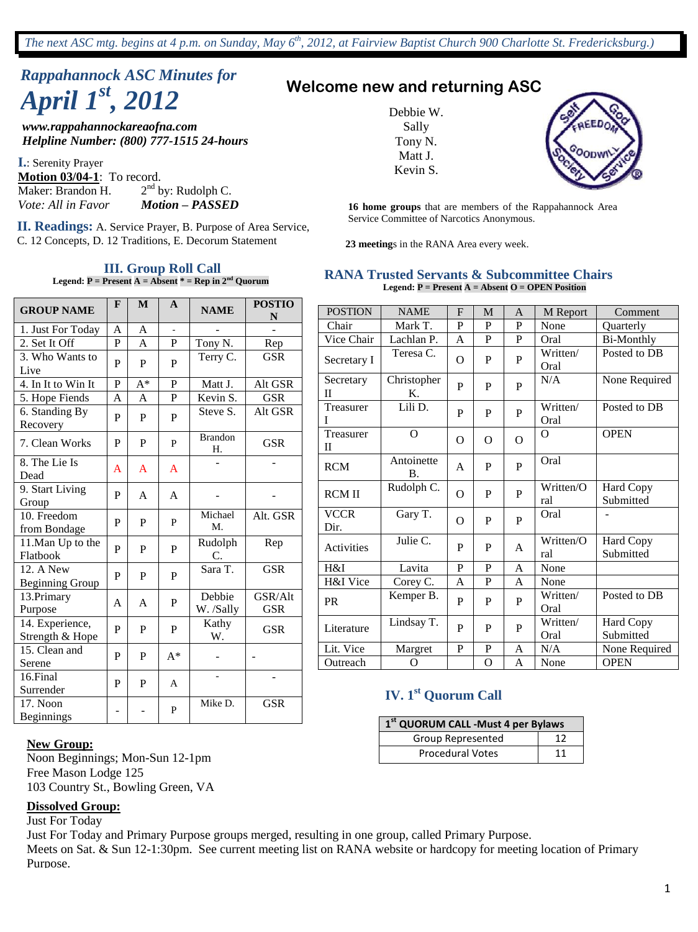# *Rappahannock ASC Minutes for April 1st, 2012* **Welcome new and returning ASC**

*www.rappahannockareaofna.com Helpline Number: (800) 777-1515 24-hours*

**I.**: Serenity Prayer **Motion 03/04-1**: To record. Maker: Brandon H. 2  $2<sup>nd</sup>$  by: Rudolph C. *Vote: All in Favor Motion – PASSED*

Service Committee of Narcotics Anonymous. **II. Readings:** A. Service Prayer, B. Purpose of Area Service, C. 12 Concepts, D. 12 Traditions, E. Decorum Statement

#### **III. Group Roll Call**

**Legend: P = Present A = Absent \* = Rep in 2nd Quorum**

| <b>GROUP NAME</b>                   | F            | M              | $\mathbf{A}$ | <b>NAME</b>            | <b>POSTIO</b><br>N    |
|-------------------------------------|--------------|----------------|--------------|------------------------|-----------------------|
| 1. Just For Today                   | A            | A              |              |                        |                       |
| 2. Set It Off                       | $\mathbf P$  | $\overline{A}$ | P            | Tony N.                | Rep                   |
| 3. Who Wants to<br>Live             | P            | P              | P            | Terry C.               | <b>GSR</b>            |
| 4. In It to Win It                  | P            | $A^*$          | P            | Matt J.                | Alt GSR               |
| 5. Hope Fiends                      | A            | A              | $\mathbf P$  | Kevin $\overline{S}$ . | <b>GSR</b>            |
| 6. Standing By<br>Recovery          | P            | P              | P            | Steve S.               | Alt GSR               |
| 7. Clean Works                      | P            | P              | P            | <b>Brandon</b><br>Н.   | <b>GSR</b>            |
| 8. The Lie Is<br>Dead               | A            | $\mathbf{A}$   | A            |                        |                       |
| 9. Start Living<br>Group            | P            | A              | A            |                        |                       |
| 10. Freedom<br>from Bondage         | P            | $\mathbf{P}$   | P            | Michael<br>M.          | Alt. GSR              |
| 11. Man Up to the<br>Flatbook       | $\mathbf{P}$ | P              | P            | Rudolph<br>C.          | Rep                   |
| 12. A New<br><b>Beginning Group</b> | P            | P              | P            | Sara T.                | <b>GSR</b>            |
| 13. Primary<br>Purpose              | A            | A              | P            | Debbie<br>W. /Sally    | GSR/Alt<br><b>GSR</b> |
| 14. Experience,<br>Strength & Hope  | $\mathbf P$  | P              | P            | Kathy<br>W.            | <b>GSR</b>            |
| 15. Clean and<br>Serene             | P            | P              | $A^*$        |                        |                       |
| 16.Final<br>Surrender               | P            | P              | $\mathsf{A}$ |                        |                       |
| 17. Noon<br><b>Beginnings</b>       |              |                | P            | Mike D.                | <b>GSR</b>            |

#### **New Group:**

Noon Beginnings; Mon-Sun 12-1pm Free Mason Lodge 125 103 Country St., Bowling Green, VA

#### **Dissolved Group:**

Just For Today

Just For Today and Primary Purpose groups merged, resulting in one group, called Primary Purpose. Meets on Sat. & Sun 12-1:30pm. See current meeting list on RANA website or hardcopy for meeting location of Primary Purpose.

Debbie W. Sally Tony N. Matt J. Kevin S.



**16 home groups** that are members of the Rappahannock Area

**23 meeting**s in the RANA Area every week.

#### **RANA Trusted Servants & Subcommittee Chairs Legend: P = Present A = Absent O = OPEN Position**

| <b>POSTION</b>      | <b>NAME</b>             | F        | M              | A              | M Report         | Comment                |
|---------------------|-------------------------|----------|----------------|----------------|------------------|------------------------|
| Chair               | Mark T.                 | P        | $\mathbf{P}$   | $\overline{P}$ | None             | Quarterly              |
| Vice Chair          | Lachlan P.              | A        | P              | P              | Oral             | <b>Bi-Monthly</b>      |
| Secretary I         | Teresa C.               | $\Omega$ | P              | $\mathbf{P}$   | Written/<br>Oral | Posted to DB           |
| Secretary<br>H      | Christopher<br>Κ.       | P        | P              | P              | N/A              | None Required          |
| Treasurer<br>I      | Lili D.                 | P        | $\mathbf{P}$   | P              | Written/<br>Oral | Posted to DB           |
| Treasurer<br>П      | $\Omega$                | $\Omega$ | $\Omega$       | $\Omega$       | $\Omega$         | <b>OPEN</b>            |
| <b>RCM</b>          | Antoinette<br><b>B.</b> | A        | P              | P              | Oral             |                        |
| <b>RCM II</b>       | Rudolph C.              | $\Omega$ | P              | $\mathbf{P}$   | Written/O<br>ral | Hard Copy<br>Submitted |
| <b>VCCR</b><br>Dir. | Gary T.                 | $\Omega$ | P              | P              | Oral             |                        |
| Activities          | Julie C.                | P        | P              | A              | Written/O<br>ral | Hard Copy<br>Submitted |
| H&I                 | Lavita                  | P        | $\mathbf{P}$   | A              | None             |                        |
| H&I Vice            | Corey C.                | A        | $\mathbf{P}$   | A              | None             |                        |
| <b>PR</b>           | Kemper B.               | P        | P              | P              | Written/<br>Oral | Posted to DB           |
| Literature          | Lindsay T.              | P        | P              | P              | Written/<br>Oral | Hard Copy<br>Submitted |
| Lit. Vice           | Margret                 | P        | $\mathbf{P}$   | A              | N/A              | None Required          |
| Outreach            | O                       |          | $\overline{O}$ | A              | None             | <b>OPEN</b>            |

### **IV. 1st Quorum Call**

| 1 <sup>st</sup> QUORUM CALL -Must 4 per Bylaws |    |  |  |  |
|------------------------------------------------|----|--|--|--|
| Group Represented                              |    |  |  |  |
| <b>Procedural Votes</b>                        | 11 |  |  |  |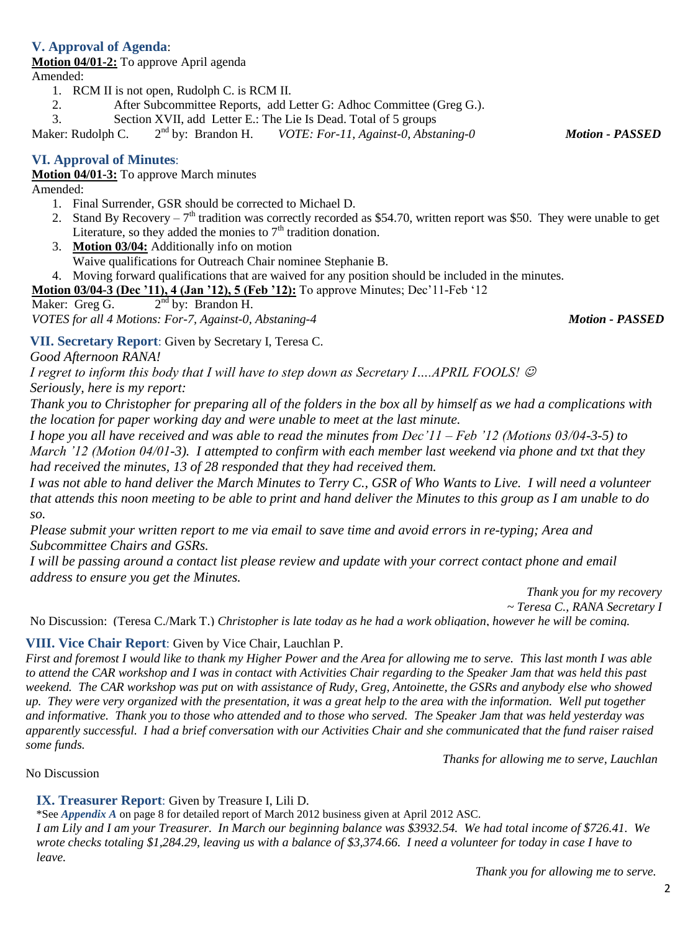#### **V. Approval of Agenda**:

# **Motion 04/01-2:** To approve April agenda

Amended:

- 1. RCM II is not open, Rudolph C. is RCM II.
- 2. After Subcommittee Reports, add Letter G: Adhoc Committee (Greg G.).
- 3. Section XVII, add Letter E.: The Lie Is Dead. Total of 5 groups

Maker: Rudolph C.  $2<sup>nd</sup>$  by: Brandon H. nd by: Brandon H. *VOTE: For-11, Against-0, Abstaning-0 Motion - PASSED*

#### **VI. Approval of Minutes**:

**Motion 04/01-3:** To approve March minutes

Amended:

- 1. Final Surrender, GSR should be corrected to Michael D.
- 2. Stand By Recovery  $7<sup>th</sup>$  tradition was correctly recorded as \$54.70, written report was \$50. They were unable to get Literature, so they added the monies to  $7<sup>th</sup>$  tradition donation.
- 3. **Motion 03/04:** Additionally info on motion Waive qualifications for Outreach Chair nominee Stephanie B.

4. Moving forward qualifications that are waived for any position should be included in the minutes.

**Motion 03/04-3 (Dec '11), 4 (Jan '12), 5 (Feb '12):** To approve Minutes; Dec'11-Feb '12

Maker: Greg G.  $2<sup>nd</sup>$  by: Brandon H. *VOTES for all 4 Motions: For-7, Against-0, Abstaning-4 Motion - PASSED*

**VII. Secretary Report**: Given by Secretary I, Teresa C.

*Good Afternoon RANA!*

*I regret to inform this body that I will have to step down as Secretary I….APRIL FOOLS! Seriously, here is my report:* 

Seriousty, nere is my report:<br>Thank you to Christopher for preparing all of the folders in the box all by himself as we had a complications with *the location for paper working day and were unable to meet at the last minute.* 

*I hope you all have received and was able to read the minutes from Dec'11 – Feb '12 (Motions 03/04-3-5) to March '12 (Motion 04/01-3). I attempted to confirm with each member last weekend via phone and txt that they had received the minutes, 13 of 28 responded that they had received them.* 

*I* was not able to hand deliver the March Minutes to Terry C., GSR of Who Wants to Live. I will need a volunteer *that attends this noon meeting to be able to print and hand deliver the Minutes to this group as I am unable to do so.* 

*Please submit your written report to me via email to save time and avoid errors in re-typing; Area and Subcommittee Chairs and GSRs.* 

*I will be passing around a contact list please review and update with your correct contact phone and email address to ensure you get the Minutes.*

> *Thank you for my recovery ~ Teresa C., RANA Secretary I*

No Discussion: (Teresa C./Mark T.) *Christopher is late today as he had a work obligation, however he will be coming.*

#### **VIII. Vice Chair Report**: Given by Vice Chair, Lauchlan P.

*First and foremost I would like to thank my Higher Power and the Area for allowing me to serve. This last month I was able to attend the CAR workshop and I was in contact with Activities Chair regarding to the Speaker Jam that was held this past weekend. The CAR workshop was put on with assistance of Rudy, Greg, Antoinette, the GSRs and anybody else who showed up. They were very organized with the presentation, it was a great help to the area with the information. Well put together and informative. Thank you to those who attended and to those who served. The Speaker Jam that was held yesterday was apparently successful. I had a brief conversation with our Activities Chair and she communicated that the fund raiser raised some funds.* 

*Thanks for allowing me to serve, Lauchlan*

No Discussion

# **IX. Treasurer Report**: Given by Treasure I, Lili D.

\*See *Appendix A* on page 8 for detailed report of March 2012 business given at April 2012 ASC.

*I am Lily and I am your Treasurer. In March our beginning balance was \$3932.54. We had total income of \$726.41. We wrote checks totaling \$1,284.29, leaving us with a balance of \$3,374.66. I need a volunteer for today in case I have to leave.*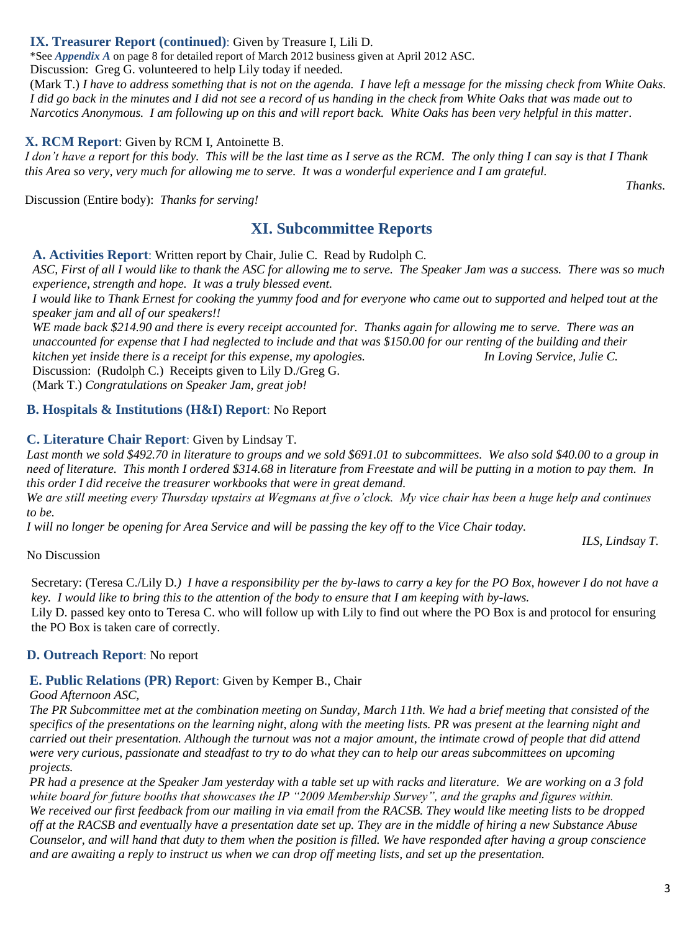# **IX. Treasurer Report (continued)**: Given by Treasure I, Lili D.

\*See *Appendix A* on page 8 for detailed report of March 2012 business given at April 2012 ASC.

Discussion: Greg G. volunteered to help Lily today if needed.

(Mark T.) *I have to address something that is not on the agenda. I have left a message for the missing check from White Oaks. I did go back in the minutes and I did not see a record of us handing in the check from White Oaks that was made out to Narcotics Anonymous. I am following up on this and will report back. White Oaks has been very helpful in this matter*.

#### **X. RCM Report**: Given by RCM I, Antoinette B.

*I don't have a report for this body. This will be the last time as I serve as the RCM. The only thing I can say is that I Thank this Area so very, very much for allowing me to serve. It was a wonderful experience and I am grateful.*

Discussion (Entire body): *Thanks for serving!*

# **XI. Subcommittee Reports**

**A. Activities Report**: Written report by Chair, Julie C. Read by Rudolph C.

*ASC, First of all I would like to thank the ASC for allowing me to serve. The Speaker Jam was a success. There was so much experience, strength and hope. It was a truly blessed event.*

*I would like to Thank Ernest for cooking the yummy food and for everyone who came out to supported and helped tout at the speaker jam and all of our speakers!!*

*WE made back \$214.90 and there is every receipt accounted for. Thanks again for allowing me to serve. There was an unaccounted for expense that I had neglected to include and that was \$150.00 for our renting of the building and their kitchen yet inside there is a receipt for this expense, my apologies. In Loving Service, Julie C.* Discussion: (Rudolph C.) Receipts given to Lily D./Greg G.

(Mark T.) *Congratulations on Speaker Jam, great job!*

#### **B. Hospitals & Institutions (H&I) Report**: No Report

#### **C. Literature Chair Report**: Given by Lindsay T.

*Last month we sold \$492.70 in literature to groups and we sold \$691.01 to subcommittees. We also sold \$40.00 to a group in need of literature. This month I ordered \$314.68 in literature from Freestate and will be putting in a motion to pay them. In this order I did receive the treasurer workbooks that were in great demand.* 

*We are still meeting every Thursday upstairs at Wegmans at five o'clock. My vice chair has been a huge help and continues to be.*

*I will no longer be opening for Area Service and will be passing the key off to the Vice Chair today.*

*ILS, Lindsay T.*

*Thanks.*

#### No Discussion

Secretary: (Teresa C./Lily D*.) I have a responsibility per the by-laws to carry a key for the PO Box, however I do not have a key. I would like to bring this to the attention of the body to ensure that I am keeping with by-laws.*

Lily D. passed key onto to Teresa C. who will follow up with Lily to find out where the PO Box is and protocol for ensuring the PO Box is taken care of correctly.

#### **D. Outreach Report**: No report

**E. Public Relations (PR) Report**: Given by Kemper B., Chair

#### *Good Afternoon ASC,*

*The PR Subcommittee met at the combination meeting on Sunday, March 11th. We had a brief meeting that consisted of the specifics of the presentations on the learning night, along with the meeting lists. PR was present at the learning night and carried out their presentation. Although the turnout was not a major amount, the intimate crowd of people that did attend were very curious, passionate and steadfast to try to do what they can to help our areas subcommittees on upcoming projects.* 

*PR had a presence at the Speaker Jam yesterday with a table set up with racks and literature. We are working on a 3 fold white board for future booths that showcases the IP "2009 Membership Survey", and the graphs and figures within. We received our first feedback from our mailing in via email from the RACSB. They would like meeting lists to be dropped off at the RACSB and eventually have a presentation date set up. They are in the middle of hiring a new Substance Abuse Counselor, and will hand that duty to them when the position is filled. We have responded after having a group conscience and are awaiting a reply to instruct us when we can drop off meeting lists, and set up the presentation.*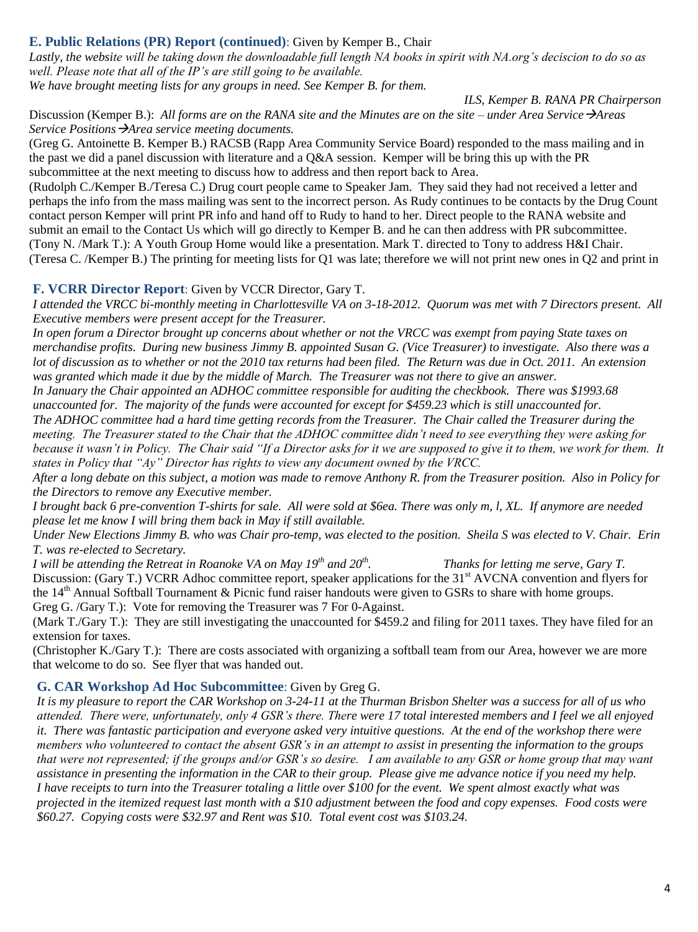#### **E. Public Relations (PR) Report (continued)**: Given by Kemper B., Chair

*Lastly, the website will be taking down the downloadable full length NA books in spirit with NA.org's deciscion to do so as well. Please note that all of the IP's are still going to be available.*

*We have brought meeting lists for any groups in need. See Kemper B. for them.*

*ILS, Kemper B. RANA PR Chairperson*

Discussion (Kemper B.): *All forms are on the RANA site and the Minutes are on the site – under Area ServiceAreas Service Positions*  $\rightarrow$ *Area service meeting documents.* 

(Greg G. Antoinette B. Kemper B.) RACSB (Rapp Area Community Service Board) responded to the mass mailing and in the past we did a panel discussion with literature and a Q&A session. Kemper will be bring this up with the PR subcommittee at the next meeting to discuss how to address and then report back to Area.

(Rudolph C./Kemper B./Teresa C.) Drug court people came to Speaker Jam. They said they had not received a letter and perhaps the info from the mass mailing was sent to the incorrect person. As Rudy continues to be contacts by the Drug Count contact person Kemper will print PR info and hand off to Rudy to hand to her. Direct people to the RANA website and submit an email to the Contact Us which will go directly to Kemper B. and he can then address with PR subcommittee. (Tony N. /Mark T.): A Youth Group Home would like a presentation. Mark T. directed to Tony to address H&I Chair. (Teresa C. /Kemper B.) The printing for meeting lists for Q1 was late; therefore we will not print new ones in Q2 and print in

#### **F. VCRR Director Report**: Given by VCCR Director, Gary T.

*I attended the VRCC bi-monthly meeting in Charlottesville VA on 3-18-2012. Quorum was met with 7 Directors present. All Executive members were present accept for the Treasurer.*

*In open forum a Director brought up concerns about whether or not the VRCC was exempt from paying State taxes on merchandise profits. During new business Jimmy B. appointed Susan G. (Vice Treasurer) to investigate. Also there was a lot of discussion as to whether or not the 2010 tax returns had been filed. The Return was due in Oct. 2011. An extension was granted which made it due by the middle of March. The Treasurer was not there to give an answer. In January the Chair appointed an ADHOC committee responsible for auditing the checkbook. There was \$1993.68* 

*unaccounted for. The majority of the funds were accounted for except for \$459.23 which is still unaccounted for. The ADHOC committee had a hard time getting records from the Treasurer. The Chair called the Treasurer during the meeting. The Treasurer stated to the Chair that the ADHOC committee didn't need to see everything they were asking for because it wasn't in Policy. The Chair said "If a Director asks for it we are supposed to give it to them, we work for them. It states in Policy that "Ay" Director has rights to view any document owned by the VRCC.*

*After a long debate on this subject, a motion was made to remove Anthony R. from the Treasurer position. Also in Policy for the Directors to remove any Executive member.*

*I brought back 6 pre-convention T-shirts for sale. All were sold at \$6ea. There was only m, l, XL. If anymore are needed please let me know I will bring them back in May if still available.*

*Under New Elections Jimmy B. who was Chair pro-temp, was elected to the position. Sheila S was elected to V. Chair. Erin T. was re-elected to Secretary.*

*I* will be attending the Retreat in Roanoke VA on May 19<sup>th</sup> and 20<sup>th</sup> *. Thanks for letting me serve, Gary T.* Discussion: (Gary T.) VCRR Adhoc committee report, speaker applications for the 31<sup>st</sup> AVCNA convention and flyers for the  $14<sup>th</sup>$  Annual Softball Tournament & Picnic fund raiser handouts were given to GSRs to share with home groups. Greg G. /Gary T.): Vote for removing the Treasurer was 7 For 0-Against.

(Mark T./Gary T.): They are still investigating the unaccounted for \$459.2 and filing for 2011 taxes. They have filed for an extension for taxes.

(Christopher K./Gary T.): There are costs associated with organizing a softball team from our Area, however we are more that welcome to do so. See flyer that was handed out.

#### **G. CAR Workshop Ad Hoc Subcommittee**: Given by Greg G.

*It is my pleasure to report the CAR Workshop on 3-24-11 at the Thurman Brisbon Shelter was a success for all of us who attended. There were, unfortunately, only 4 GSR's there. There were 17 total interested members and I feel we all enjoyed it. There was fantastic participation and everyone asked very intuitive questions. At the end of the workshop there were members who volunteered to contact the absent GSR's in an attempt to assist in presenting the information to the groups that were not represented; if the groups and/or GSR's so desire. I am available to any GSR or home group that may want assistance in presenting the information in the CAR to their group. Please give me advance notice if you need my help. I have receipts to turn into the Treasurer totaling a little over \$100 for the event. We spent almost exactly what was projected in the itemized request last month with a \$10 adjustment between the food and copy expenses. Food costs were \$60.27. Copying costs were \$32.97 and Rent was \$10. Total event cost was \$103.24.*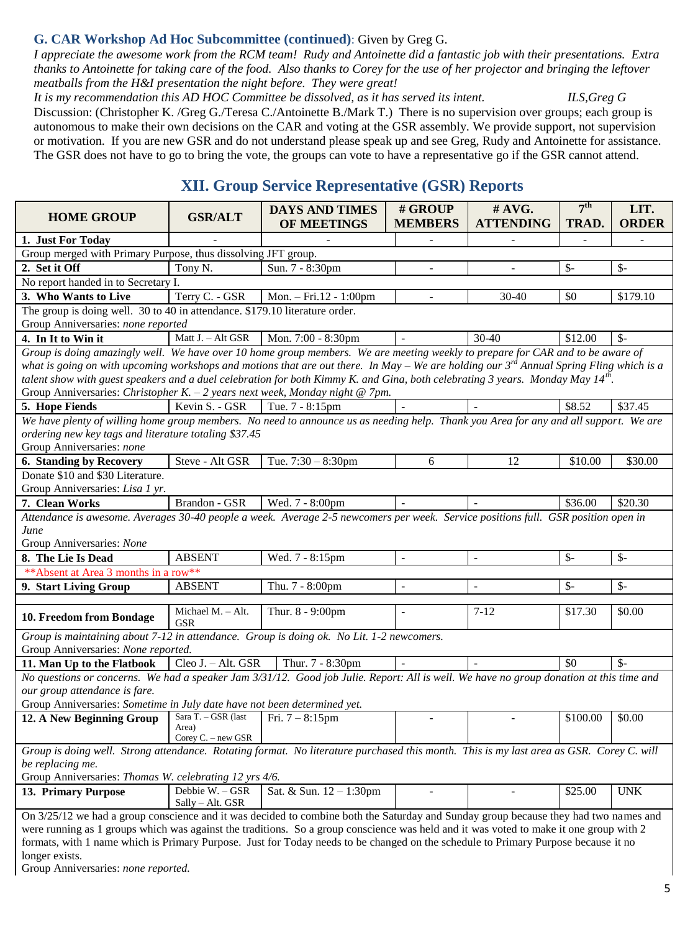#### **G. CAR Workshop Ad Hoc Subcommittee (continued)**: Given by Greg G.

*I appreciate the awesome work from the RCM team! Rudy and Antoinette did a fantastic job with their presentations. Extra thanks to Antoinette for taking care of the food. Also thanks to Corey for the use of her projector and bringing the leftover meatballs from the H&I presentation the night before. They were great!*

*It is my recommendation this AD HOC Committee be dissolved, as it has served its intent. ILS,Greg G* Discussion: (Christopher K. /Greg G./Teresa C./Antoinette B./Mark T.) There is no supervision over groups; each group is autonomous to make their own decisions on the CAR and voting at the GSR assembly. We provide support, not supervision or motivation. If you are new GSR and do not understand please speak up and see Greg, Rudy and Antoinette for assistance. The GSR does not have to go to bring the vote, the groups can vote to have a representative go if the GSR cannot attend.

# **XII. Group Service Representative (GSR) Reports**

| <b>HOME GROUP</b>                                                                                                                                                                                                                                                                          | <b>GSR/ALT</b>                      | <b>DAYS AND TIMES</b><br>OF MEETINGS | # GROUP<br><b>MEMBERS</b> | #AVG.<br><b>ATTENDING</b> | 7 <sup>th</sup><br>TRAD. | LIT.<br><b>ORDER</b> |  |
|--------------------------------------------------------------------------------------------------------------------------------------------------------------------------------------------------------------------------------------------------------------------------------------------|-------------------------------------|--------------------------------------|---------------------------|---------------------------|--------------------------|----------------------|--|
| 1. Just For Today                                                                                                                                                                                                                                                                          |                                     |                                      |                           |                           |                          |                      |  |
| Group merged with Primary Purpose, thus dissolving JFT group.                                                                                                                                                                                                                              |                                     |                                      |                           |                           |                          |                      |  |
| 2. Set it Off                                                                                                                                                                                                                                                                              | Tony N.                             | Sun. 7 - 8:30pm                      |                           |                           | $\mathcal{S}$ -          | $\mathcal{S}$ -      |  |
| No report handed in to Secretary I.                                                                                                                                                                                                                                                        |                                     |                                      |                           |                           |                          |                      |  |
| 3. Who Wants to Live                                                                                                                                                                                                                                                                       | Terry C. - GSR                      | Mon. $-Fri.12 - 1:00pm$              | $\overline{a}$            | $30 - 40$                 | \$0                      | \$179.10             |  |
| The group is doing well. 30 to 40 in attendance. \$179.10 literature order.                                                                                                                                                                                                                |                                     |                                      |                           |                           |                          |                      |  |
| Group Anniversaries: none reported                                                                                                                                                                                                                                                         |                                     |                                      |                           |                           |                          |                      |  |
| 4. In It to Win it                                                                                                                                                                                                                                                                         | Matt J. - Alt GSR                   | Mon. 7:00 - 8:30pm                   |                           | $30 - 40$                 | \$12.00                  | $\mathcal{S}$ -      |  |
| Group is doing amazingly well. We have over 10 home group members. We are meeting weekly to prepare for CAR and to be aware of                                                                                                                                                             |                                     |                                      |                           |                           |                          |                      |  |
|                                                                                                                                                                                                                                                                                            |                                     |                                      |                           |                           |                          |                      |  |
| what is going on with upcoming workshops and motions that are out there. In May – We are holding our $3^{rd}$ Annual Spring Fling which is a<br>talent show with guest speakers and a duel celebration for both Kimmy K. and Gina, both celebrating 3 years. Monday May $14^{\text{th}}$ . |                                     |                                      |                           |                           |                          |                      |  |
| Group Anniversaries: Christopher K. $-2$ years next week, Monday night @ 7pm.                                                                                                                                                                                                              |                                     |                                      |                           |                           |                          |                      |  |
| 5. Hope Fiends                                                                                                                                                                                                                                                                             | Kevin S. - GSR                      | Tue. 7 - 8:15pm                      |                           |                           | \$8.52                   | \$37.45              |  |
| We have plenty of willing home group members. No need to announce us as needing help. Thank you Area for any and all support. We are                                                                                                                                                       |                                     |                                      |                           |                           |                          |                      |  |
| ordering new key tags and literature totaling \$37.45                                                                                                                                                                                                                                      |                                     |                                      |                           |                           |                          |                      |  |
| Group Anniversaries: none                                                                                                                                                                                                                                                                  |                                     |                                      |                           |                           |                          |                      |  |
| 6. Standing by Recovery                                                                                                                                                                                                                                                                    | Steve - Alt GSR                     | Tue. $7:30 - 8:30$ pm                | 6                         | 12                        | \$10.00                  | \$30.00              |  |
| Donate \$10 and \$30 Literature.                                                                                                                                                                                                                                                           |                                     |                                      |                           |                           |                          |                      |  |
| Group Anniversaries: Lisa 1 yr.                                                                                                                                                                                                                                                            |                                     |                                      |                           |                           |                          |                      |  |
| 7. Clean Works                                                                                                                                                                                                                                                                             | Brandon - GSR                       | Wed. 7 - 8:00pm                      |                           |                           | \$36.00                  | \$20.30              |  |
| Attendance is awesome. Averages 30-40 people a week. Average 2-5 newcomers per week. Service positions full. GSR position open in                                                                                                                                                          |                                     |                                      |                           |                           |                          |                      |  |
| June                                                                                                                                                                                                                                                                                       |                                     |                                      |                           |                           |                          |                      |  |
| Group Anniversaries: None                                                                                                                                                                                                                                                                  |                                     |                                      |                           |                           |                          |                      |  |
| 8. The Lie Is Dead                                                                                                                                                                                                                                                                         | <b>ABSENT</b>                       | Wed. 7 - 8:15pm                      | ÷,                        | $\overline{a}$            | $\mathcal{S}$ -          | $\mathcal{S}$ -      |  |
| ** Absent at Area 3 months in a row**                                                                                                                                                                                                                                                      |                                     |                                      |                           |                           |                          |                      |  |
| 9. Start Living Group                                                                                                                                                                                                                                                                      | <b>ABSENT</b>                       | Thu. 7 - 8:00pm                      | $\blacksquare$            |                           | $\mathcal{S}$ -          | $\mathcal{S}$ -      |  |
|                                                                                                                                                                                                                                                                                            |                                     |                                      |                           |                           |                          |                      |  |
| 10. Freedom from Bondage                                                                                                                                                                                                                                                                   | Michael M. - Alt.                   | Thur. 8 - 9:00pm                     |                           | $7 - 12$                  | \$17.30                  | \$0.00               |  |
|                                                                                                                                                                                                                                                                                            | <b>GSR</b>                          |                                      |                           |                           |                          |                      |  |
| Group is maintaining about 7-12 in attendance. Group is doing ok. No Lit. 1-2 newcomers.<br>Group Anniversaries: None reported.                                                                                                                                                            |                                     |                                      |                           |                           |                          |                      |  |
| 11. Man Up to the Flatbook                                                                                                                                                                                                                                                                 | Cleo J. - Alt. GSR                  | Thur. 7 - 8:30pm                     |                           |                           | \$0                      | $\mathsf{S}$         |  |
| No questions or concerns. We had a speaker Jam 3/31/12. Good job Julie. Report: All is well. We have no group donation at this time and                                                                                                                                                    |                                     |                                      |                           |                           |                          |                      |  |
| our group attendance is fare.                                                                                                                                                                                                                                                              |                                     |                                      |                           |                           |                          |                      |  |
| Group Anniversaries: Sometime in July date have not been determined yet.                                                                                                                                                                                                                   |                                     |                                      |                           |                           |                          |                      |  |
| 12. A New Beginning Group                                                                                                                                                                                                                                                                  | Sara T. - GSR (last                 | Fri. $7 - 8:15$ pm                   |                           |                           | \$100.00                 | \$0.00               |  |
|                                                                                                                                                                                                                                                                                            | Area)                               |                                      |                           |                           |                          |                      |  |
|                                                                                                                                                                                                                                                                                            | Corey C. - new GSR                  |                                      |                           |                           |                          |                      |  |
| Group is doing well. Strong attendance. Rotating format. No literature purchased this month. This is my last area as GSR. Corey C. will                                                                                                                                                    |                                     |                                      |                           |                           |                          |                      |  |
| be replacing me.                                                                                                                                                                                                                                                                           |                                     |                                      |                           |                           |                          |                      |  |
| Group Anniversaries: Thomas W. celebrating 12 yrs 4/6.                                                                                                                                                                                                                                     |                                     |                                      |                           |                           |                          |                      |  |
| 13. Primary Purpose                                                                                                                                                                                                                                                                        | Debbie W. - GSR                     | Sat. & Sun. 12 - 1:30pm              |                           |                           | \$25.00                  | <b>UNK</b>           |  |
| Sally - Alt. GSR<br>On 3/25/12 we had a group conscience and it was decided to combine both the Saturday and Sunday group because they had two names and                                                                                                                                   |                                     |                                      |                           |                           |                          |                      |  |
| were running as 1 groups which was against the traditions. So a group conscience was held and it was voted to make it one group with 2                                                                                                                                                     |                                     |                                      |                           |                           |                          |                      |  |
| formats, with 1 name which is Primary Purpose. Just for Today needs to be changed on the schedule to Primary Purpose because it no                                                                                                                                                         |                                     |                                      |                           |                           |                          |                      |  |
| longer exists.                                                                                                                                                                                                                                                                             |                                     |                                      |                           |                           |                          |                      |  |
|                                                                                                                                                                                                                                                                                            | Group Anniversaries: none reported. |                                      |                           |                           |                          |                      |  |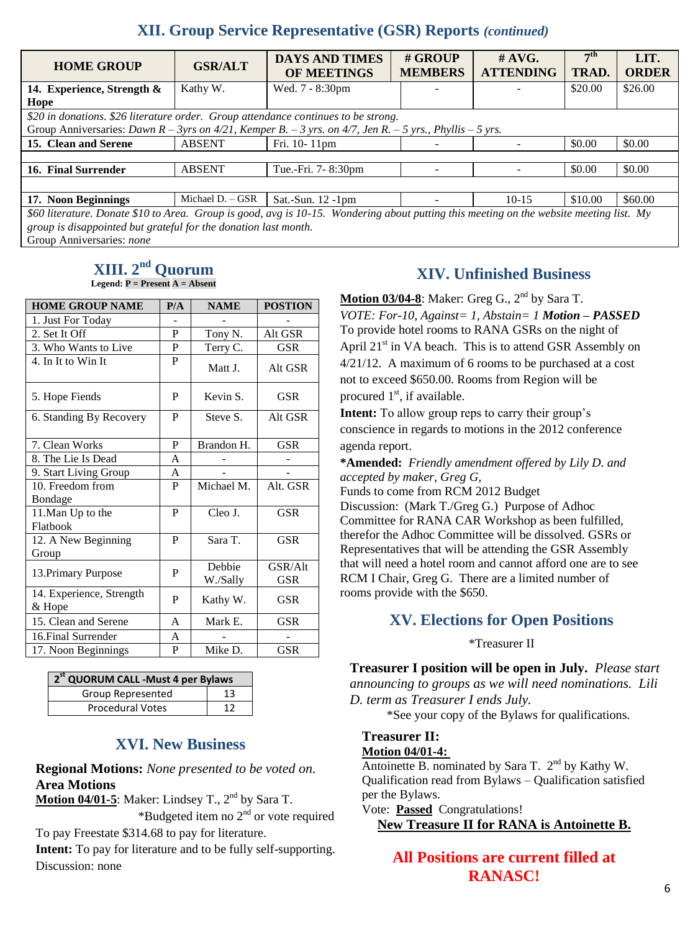# **XII. Group Service Representative (GSR) Reports** *(continued)*

| <b>HOME GROUP</b>                                                                                                                       | <b>GSR/ALT</b>   | <b>DAYS AND TIMES</b><br>OF MEETINGS | # GROUP<br><b>MEMBERS</b> | $\#$ AVG.<br><b>ATTENDING</b> | $\mathbf{\tau}$ th<br>TRAD. | LIT.<br><b>ORDER</b> |  |
|-----------------------------------------------------------------------------------------------------------------------------------------|------------------|--------------------------------------|---------------------------|-------------------------------|-----------------------------|----------------------|--|
| 14. Experience, Strength $\&$                                                                                                           | Kathy W.         | Wed. 7 - 8:30pm                      |                           |                               | \$20.00                     | \$26.00              |  |
| Hope                                                                                                                                    |                  |                                      |                           |                               |                             |                      |  |
| \$20 in donations. \$26 literature order. Group attendance continues to be strong.                                                      |                  |                                      |                           |                               |                             |                      |  |
| Group Anniversaries: Dawn $R - 3yrs$ on 4/21, Kemper B. - 3 yrs. on 4/7, Jen R. - 5 yrs., Phyllis - 5 yrs.                              |                  |                                      |                           |                               |                             |                      |  |
| 15. Clean and Serene                                                                                                                    | <b>ABSENT</b>    | Fri. 10-11pm                         |                           |                               | \$0.00                      | \$0.00               |  |
|                                                                                                                                         |                  |                                      |                           |                               |                             |                      |  |
| 16. Final Surrender                                                                                                                     | <b>ABSENT</b>    | Tue.-Fri. 7- 8:30pm                  |                           |                               | \$0.00                      | \$0.00               |  |
|                                                                                                                                         |                  |                                      |                           |                               |                             |                      |  |
| 17. Noon Beginnings                                                                                                                     | Michael D. - GSR | Sat.-Sun. $12$ -1pm                  |                           | $10-15$                       | \$10.00                     | \$60.00              |  |
| \$60 literature. Donate \$10 to Area. Group is good, avg is 10-15. Wondering about putting this meeting on the website meeting list. My |                  |                                      |                           |                               |                             |                      |  |
| group is disappointed but grateful for the donation last month.                                                                         |                  |                                      |                           |                               |                             |                      |  |

Group Anniversaries: *none*

# $\bold {XIII.~2}^{\bold {nd}}$  Quorum

**Legend: P = Present A = Absent**

| <b>HOME GROUP NAME</b>   | P/A | <b>NAME</b> | <b>POSTION</b> |
|--------------------------|-----|-------------|----------------|
| 1. Just For Today        |     |             |                |
| 2. Set It Off            | P   | Tony N.     | Alt GSR        |
| 3. Who Wants to Live     | P   | Terry C.    | <b>GSR</b>     |
| 4. In It to Win It       | P   | Matt J.     | Alt GSR        |
| 5. Hope Fiends           | P   | Kevin S.    | <b>GSR</b>     |
| 6. Standing By Recovery  | P   | Steve S.    | Alt GSR        |
| 7. Clean Works           | P   | Brandon H.  | <b>GSR</b>     |
| 8. The Lie Is Dead       | A   |             |                |
| 9. Start Living Group    | A   |             |                |
| 10. Freedom from         | P   | Michael M.  | Alt. GSR       |
| Bondage                  |     |             |                |
| 11. Man Up to the        | P   | Cleo J.     | <b>GSR</b>     |
| Flatbook                 |     |             |                |
| 12. A New Beginning      | P   | Sara T.     | <b>GSR</b>     |
| Group                    |     |             |                |
| 13. Primary Purpose      | P   | Debbie      | GSR/Alt        |
|                          |     | W./Sally    | GSR            |
| 14. Experience, Strength | P   | Kathy W.    | <b>GSR</b>     |
| & Hope                   |     |             |                |
| 15. Clean and Serene     | A   | Mark E.     | GSR            |
| 16. Final Surrender      | A   |             |                |
| 17. Noon Beginnings      | P   | Mike D.     | <b>GSR</b>     |

| 2 <sup>st</sup> QUORUM CALL -Must 4 per Bylaws |    |
|------------------------------------------------|----|
| Group Represented                              | 13 |
| <b>Procedural Votes</b>                        | 12 |

# **XVI. New Business**

#### **Regional Motions:** *None presented to be voted on.* **Area Motions**

Motion 04/01-5: Maker: Lindsey T., 2<sup>nd</sup> by Sara T.

\*Budgeted item no  $2<sup>nd</sup>$  or vote required

To pay Freestate \$314.68 to pay for literature.

**Intent:** To pay for literature and to be fully self-supporting. Discussion: none

# **XIV. Unfinished Business**

**Motion 03/04-8**: Maker: Greg G., 2 nd by Sara T. *VOTE: For-10, Against= 1, Abstain= 1 Motion – PASSED* To provide hotel rooms to RANA GSRs on the night of April  $21<sup>st</sup>$  in VA beach. This is to attend GSR Assembly on 4/21/12. A maximum of 6 rooms to be purchased at a cost not to exceed \$650.00. Rooms from Region will be procured  $1<sup>st</sup>$ , if available.

**Intent:** To allow group reps to carry their group's conscience in regards to motions in the 2012 conference agenda report.

**\*Amended:** *Friendly amendment offered by Lily D. and accepted by maker, Greg G,*

Funds to come from RCM 2012 Budget Discussion: (Mark T./Greg G.) Purpose of Adhoc Committee for RANA CAR Workshop as been fulfilled, therefor the Adhoc Committee will be dissolved. GSRs or Representatives that will be attending the GSR Assembly that will need a hotel room and cannot afford one are to see RCM I Chair, Greg G. There are a limited number of rooms provide with the \$650.

# **XV. Elections for Open Positions**

\*Treasurer II

**Treasurer I position will be open in July.** *Please start announcing to groups as we will need nominations. Lili D. term as Treasurer I ends July.*

\*See your copy of the Bylaws for qualifications.

#### **Treasurer II: Motion 04/01-4:**

Antoinette B. nominated by Sara T.  $2<sup>nd</sup>$  by Kathy W. Qualification read from Bylaws – Qualification satisfied per the Bylaws.

Vote: **Passed** Congratulations!

**New Treasure II for RANA is Antoinette B.**

**All Positions are current filled at RANASC!**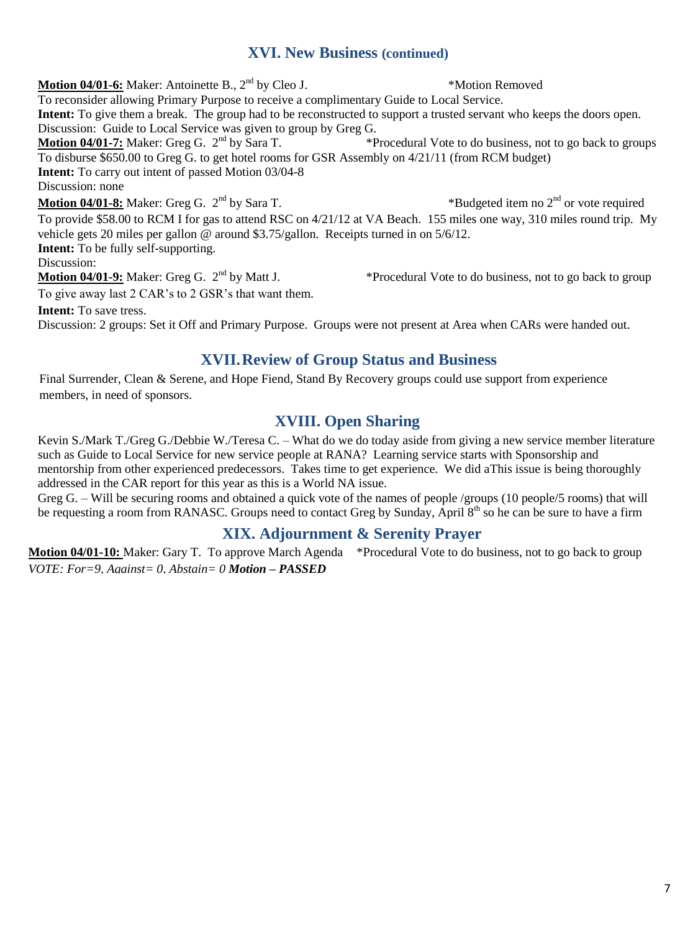## **XVI. New Business (continued)**

**Motion 04/01-6:** Maker: Antoinette B., 2<sup>nd</sup> by Cleo J. \*Motion Removed To reconsider allowing Primary Purpose to receive a complimentary Guide to Local Service. **Intent:** To give them a break. The group had to be reconstructed to support a trusted servant who keeps the doors open. Discussion: Guide to Local Service was given to group by Greg G. **Motion 04/01-7:** Maker: Greg G. 2<sup>nd</sup> by Sara T. \*Procedural Vote to do business, not to go back to groups To disburse \$650.00 to Greg G. to get hotel rooms for GSR Assembly on 4/21/11 (from RCM budget) **Intent:** To carry out intent of passed Motion 03/04-8 Discussion: none **Motion 04/01-8:** Maker: Greg G. 2<sup>nd</sup> by Sara T. \*Budgeted item no  $2<sup>nd</sup>$  or vote required To provide \$58.00 to RCM I for gas to attend RSC on 4/21/12 at VA Beach. 155 miles one way, 310 miles round trip. My vehicle gets 20 miles per gallon @ around \$3.75/gallon. Receipts turned in on 5/6/12. **Intent:** To be fully self-supporting. Discussion: **Motion 04/01-9:** Maker: Greg G. 2<sup>nd</sup> by Matt J. \*Procedural Vote to do business, not to go back to group

To give away last 2 CAR's to 2 GSR's that want them.

**Intent:** To save tress.

Discussion: 2 groups: Set it Off and Primary Purpose. Groups were not present at Area when CARs were handed out.

# **XVII.Review of Group Status and Business**

Final Surrender, Clean & Serene, and Hope Fiend, Stand By Recovery groups could use support from experience members, in need of sponsors.

# **XVIII. Open Sharing**

Kevin S./Mark T./Greg G./Debbie W./Teresa C. – What do we do today aside from giving a new service member literature such as Guide to Local Service for new service people at RANA? Learning service starts with Sponsorship and mentorship from other experienced predecessors. Takes time to get experience. We did aThis issue is being thoroughly addressed in the CAR report for this year as this is a World NA issue.

Greg G. – Will be securing rooms and obtained a quick vote of the names of people /groups (10 people/5 rooms) that will be requesting a room from RANASC. Groups need to contact Greg by Sunday, April 8<sup>th</sup> so he can be sure to have a firm

# **XIX. Adjournment & Serenity Prayer**

**Motion 04/01-10:** Maker: Gary T. To approve March Agenda \*Procedural Vote to do business, not to go back to group *VOTE: For=9, Against= 0, Abstain= 0 Motion – PASSED*